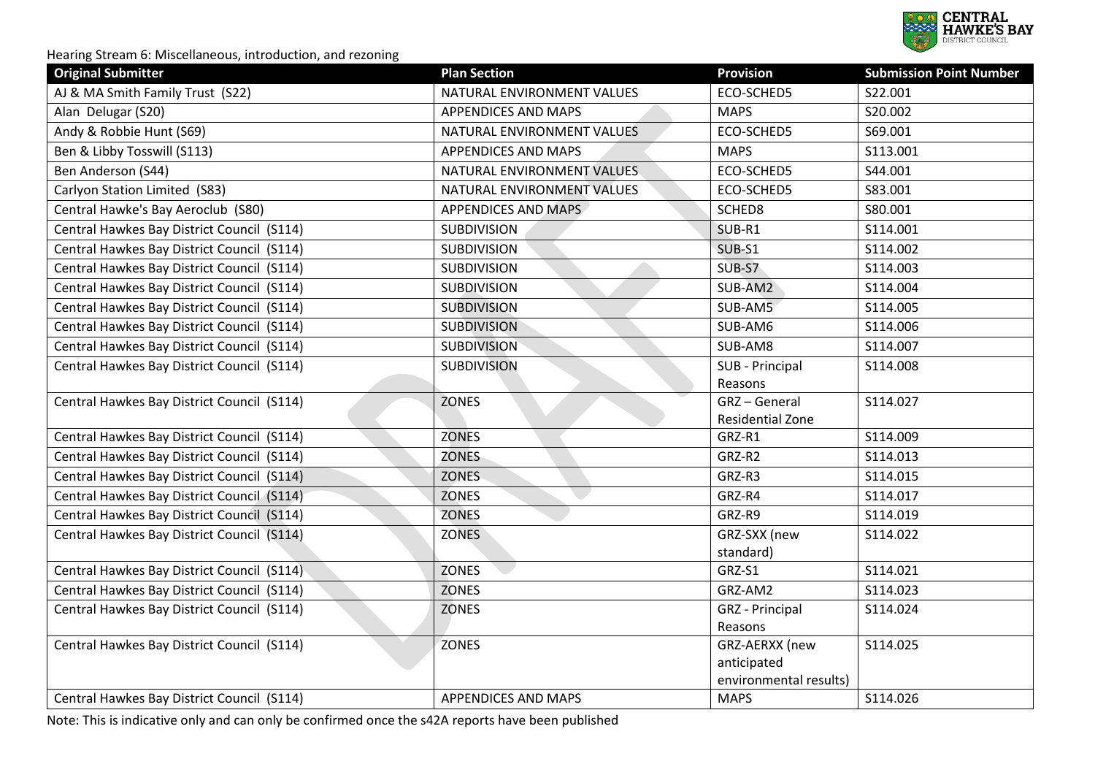

| <b>Original Submitter</b>                  | <b>Plan Section</b>        | <b>Provision</b>          | <b>Submission Point Number</b> |
|--------------------------------------------|----------------------------|---------------------------|--------------------------------|
| AJ & MA Smith Family Trust (S22)           | NATURAL ENVIRONMENT VALUES | ECO-SCHED5                | S22.001                        |
| Alan Delugar (S20)                         | <b>APPENDICES AND MAPS</b> | <b>MAPS</b>               | S20.002                        |
| Andy & Robbie Hunt (S69)                   | NATURAL ENVIRONMENT VALUES | ECO-SCHED5                | S69.001                        |
| Ben & Libby Tosswill (S113)                | APPENDICES AND MAPS        | <b>MAPS</b>               | S113.001                       |
| Ben Anderson (S44)                         | NATURAL ENVIRONMENT VALUES | ECO-SCHED5                | S44.001                        |
| Carlyon Station Limited (S83)              | NATURAL ENVIRONMENT VALUES | ECO-SCHED5                | S83.001                        |
| Central Hawke's Bay Aeroclub (S80)         | <b>APPENDICES AND MAPS</b> | SCHED8                    | S80.001                        |
| Central Hawkes Bay District Council (S114) | <b>SUBDIVISION</b>         | SUB-R1                    | S114.001                       |
| Central Hawkes Bay District Council (S114) | <b>SUBDIVISION</b>         | SUB-S1                    | S114.002                       |
| Central Hawkes Bay District Council (S114) | <b>SUBDIVISION</b>         | SUB-S7                    | S114.003                       |
| Central Hawkes Bay District Council (S114) | <b>SUBDIVISION</b>         | SUB-AM2                   | S114.004                       |
| Central Hawkes Bay District Council (S114) | <b>SUBDIVISION</b>         | SUB-AM5                   | S114.005                       |
| Central Hawkes Bay District Council (S114) | <b>SUBDIVISION</b>         | SUB-AM6                   | S114.006                       |
| Central Hawkes Bay District Council (S114) | <b>SUBDIVISION</b>         | SUB-AM8                   | S114.007                       |
| Central Hawkes Bay District Council (S114) | <b>SUBDIVISION</b>         | SUB - Principal           | S114.008                       |
|                                            |                            | Reasons                   |                                |
| Central Hawkes Bay District Council (S114) | <b>ZONES</b>               | GRZ-General               | S114.027                       |
|                                            |                            | Residential Zone          |                                |
| Central Hawkes Bay District Council (S114) | <b>ZONES</b>               | GRZ-R1                    | S114.009                       |
| Central Hawkes Bay District Council (S114) | <b>ZONES</b>               | GRZ-R2                    | S114.013                       |
| Central Hawkes Bay District Council (S114) | <b>ZONES</b>               | GRZ-R3                    | S114.015                       |
| Central Hawkes Bay District Council (S114) | e i<br><b>ZONES</b>        | GRZ-R4                    | S114.017                       |
| Central Hawkes Bay District Council (S114) | <b>ZONES</b>               | GRZ-R9                    | S114.019                       |
| Central Hawkes Bay District Council (S114) | <b>ZONES</b>               | GRZ-SXX (new              | S114.022                       |
|                                            |                            | standard)                 |                                |
| Central Hawkes Bay District Council (S114) | <b>ZONES</b>               | GRZ-S1                    | S114.021                       |
| Central Hawkes Bay District Council (S114) | <b>ZONES</b>               | GRZ-AM2                   | S114.023                       |
| Central Hawkes Bay District Council (S114) | ZONES                      | <b>GRZ</b> - Principal    | S114.024                       |
| Central Hawkes Bay District Council (S114) | <b>ZONES</b>               | Reasons<br>GRZ-AERXX (new | S114.025                       |
|                                            |                            | anticipated               |                                |
|                                            |                            | environmental results)    |                                |
| Central Hawkes Bay District Council (S114) | APPENDICES AND MAPS        | <b>MAPS</b>               | S114.026                       |
|                                            |                            |                           |                                |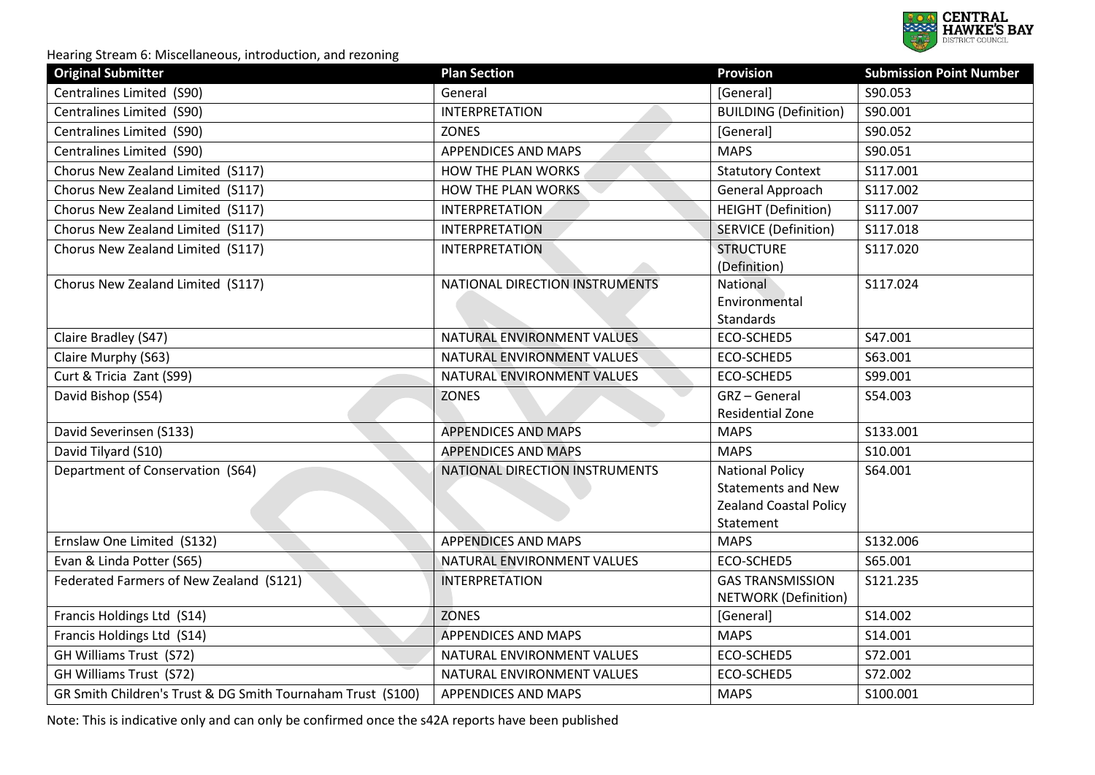

| <b>Original Submitter</b>                                   | <b>Plan Section</b>            | <b>Provision</b>                                                                                  | <b>Submission Point Number</b> |
|-------------------------------------------------------------|--------------------------------|---------------------------------------------------------------------------------------------------|--------------------------------|
| Centralines Limited (S90)                                   | General                        | [General]                                                                                         | S90.053                        |
| Centralines Limited (S90)                                   | <b>INTERPRETATION</b>          | <b>BUILDING (Definition)</b>                                                                      | S90.001                        |
| Centralines Limited (S90)                                   | <b>ZONES</b>                   | [General]                                                                                         | S90.052                        |
| Centralines Limited (S90)                                   | APPENDICES AND MAPS            | <b>MAPS</b>                                                                                       | S90.051                        |
| Chorus New Zealand Limited (S117)                           | HOW THE PLAN WORKS             | <b>Statutory Context</b>                                                                          | S117.001                       |
| Chorus New Zealand Limited (S117)                           | HOW THE PLAN WORKS             | General Approach                                                                                  | S117.002                       |
| Chorus New Zealand Limited (S117)                           | <b>INTERPRETATION</b>          | <b>HEIGHT</b> (Definition)                                                                        | S117.007                       |
| Chorus New Zealand Limited (S117)                           | <b>INTERPRETATION</b>          | <b>SERVICE (Definition)</b>                                                                       | S117.018                       |
| Chorus New Zealand Limited (S117)                           | <b>INTERPRETATION</b>          | <b>STRUCTURE</b><br>(Definition)                                                                  | S117.020                       |
| Chorus New Zealand Limited (S117)                           | NATIONAL DIRECTION INSTRUMENTS | National<br>Environmental<br>Standards                                                            | S117.024                       |
| Claire Bradley (S47)                                        | NATURAL ENVIRONMENT VALUES     | ECO-SCHED5                                                                                        | S47.001                        |
| Claire Murphy (S63)                                         | NATURAL ENVIRONMENT VALUES     | ECO-SCHED5                                                                                        | S63.001                        |
| Curt & Tricia Zant (S99)                                    | NATURAL ENVIRONMENT VALUES     | ECO-SCHED5                                                                                        | S99.001                        |
| David Bishop (S54)                                          | <b>ZONES</b>                   | GRZ-General<br>Residential Zone                                                                   | S54.003                        |
| David Severinsen (S133)                                     | <b>APPENDICES AND MAPS</b>     | <b>MAPS</b>                                                                                       | S133.001                       |
| David Tilyard (S10)                                         | <b>APPENDICES AND MAPS</b>     | <b>MAPS</b>                                                                                       | S10.001                        |
| Department of Conservation (S64)                            | NATIONAL DIRECTION INSTRUMENTS | <b>National Policy</b><br><b>Statements and New</b><br><b>Zealand Coastal Policy</b><br>Statement | S64.001                        |
| Ernslaw One Limited (S132)                                  | APPENDICES AND MAPS            | <b>MAPS</b>                                                                                       | S132.006                       |
| Evan & Linda Potter (S65)                                   | NATURAL ENVIRONMENT VALUES     | ECO-SCHED5                                                                                        | S65.001                        |
| Federated Farmers of New Zealand (S121)                     | <b>INTERPRETATION</b>          | <b>GAS TRANSMISSION</b><br><b>NETWORK (Definition)</b>                                            | S121.235                       |
| Francis Holdings Ltd (S14)                                  | <b>ZONES</b>                   | [General]                                                                                         | S14.002                        |
| Francis Holdings Ltd (S14)                                  | <b>APPENDICES AND MAPS</b>     | <b>MAPS</b>                                                                                       | S14.001                        |
| GH Williams Trust (S72)                                     | NATURAL ENVIRONMENT VALUES     | ECO-SCHED5                                                                                        | S72.001                        |
| GH Williams Trust (S72)                                     | NATURAL ENVIRONMENT VALUES     | ECO-SCHED5                                                                                        | S72.002                        |
| GR Smith Children's Trust & DG Smith Tournaham Trust (S100) | <b>APPENDICES AND MAPS</b>     | <b>MAPS</b>                                                                                       | S100.001                       |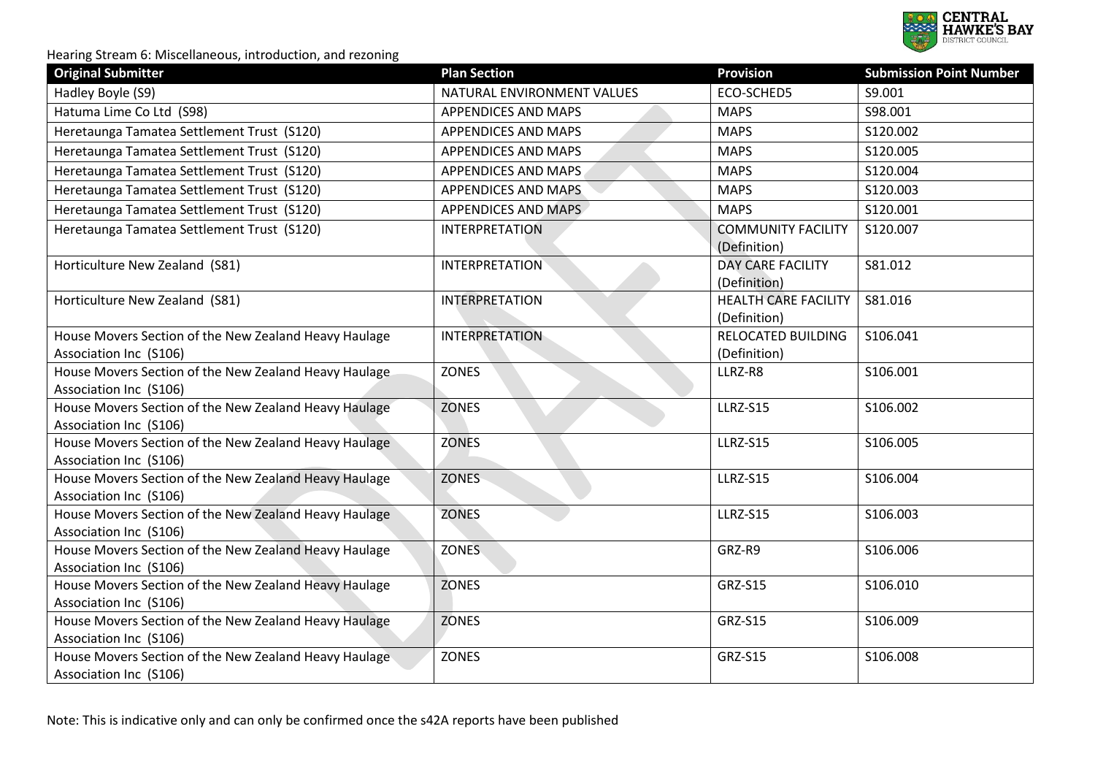

| <b>Original Submitter</b>                                                       | <b>Plan Section</b>        | <b>Provision</b>                            | <b>Submission Point Number</b> |
|---------------------------------------------------------------------------------|----------------------------|---------------------------------------------|--------------------------------|
| Hadley Boyle (S9)                                                               | NATURAL ENVIRONMENT VALUES | ECO-SCHED5                                  | S9.001                         |
| Hatuma Lime Co Ltd (S98)                                                        | <b>APPENDICES AND MAPS</b> | <b>MAPS</b>                                 | S98.001                        |
| Heretaunga Tamatea Settlement Trust (S120)                                      | APPENDICES AND MAPS        | <b>MAPS</b>                                 | S120.002                       |
| Heretaunga Tamatea Settlement Trust (S120)                                      | <b>APPENDICES AND MAPS</b> | <b>MAPS</b>                                 | S120.005                       |
| Heretaunga Tamatea Settlement Trust (S120)                                      | <b>APPENDICES AND MAPS</b> | <b>MAPS</b>                                 | S120.004                       |
| Heretaunga Tamatea Settlement Trust (S120)                                      | <b>APPENDICES AND MAPS</b> | <b>MAPS</b>                                 | S120.003                       |
| Heretaunga Tamatea Settlement Trust (S120)                                      | APPENDICES AND MAPS        | <b>MAPS</b>                                 | S120.001                       |
| Heretaunga Tamatea Settlement Trust (S120)                                      | <b>INTERPRETATION</b>      | <b>COMMUNITY FACILITY</b><br>(Definition)   | S120.007                       |
| Horticulture New Zealand (S81)                                                  | <b>INTERPRETATION</b>      | <b>DAY CARE FACILITY</b><br>(Definition)    | S81.012                        |
| Horticulture New Zealand (S81)                                                  | <b>INTERPRETATION</b>      | <b>HEALTH CARE FACILITY</b><br>(Definition) | S81.016                        |
| House Movers Section of the New Zealand Heavy Haulage<br>Association Inc (S106) | <b>INTERPRETATION</b>      | RELOCATED BUILDING<br>(Definition)          | S106.041                       |
| House Movers Section of the New Zealand Heavy Haulage<br>Association Inc (S106) | <b>ZONES</b>               | LLRZ-R8                                     | S106.001                       |
| House Movers Section of the New Zealand Heavy Haulage<br>Association Inc (S106) | <b>ZONES</b>               | LLRZ-S15                                    | S106.002                       |
| House Movers Section of the New Zealand Heavy Haulage<br>Association Inc (S106) | <b>ZONES</b>               | LLRZ-S15                                    | S106.005                       |
| House Movers Section of the New Zealand Heavy Haulage<br>Association Inc (S106) | <b>ZONES</b>               | <b>LLRZ-S15</b>                             | S106.004                       |
| House Movers Section of the New Zealand Heavy Haulage<br>Association Inc (S106) | <b>ZONES</b>               | LLRZ-S15                                    | S106.003                       |
| House Movers Section of the New Zealand Heavy Haulage<br>Association Inc (S106) | ZONES                      | GRZ-R9                                      | S106.006                       |
| House Movers Section of the New Zealand Heavy Haulage<br>Association Inc (S106) | <b>ZONES</b>               | <b>GRZ-S15</b>                              | S106.010                       |
| House Movers Section of the New Zealand Heavy Haulage<br>Association Inc (S106) | <b>ZONES</b>               | <b>GRZ-S15</b>                              | S106.009                       |
| House Movers Section of the New Zealand Heavy Haulage<br>Association Inc (S106) | <b>ZONES</b>               | <b>GRZ-S15</b>                              | S106.008                       |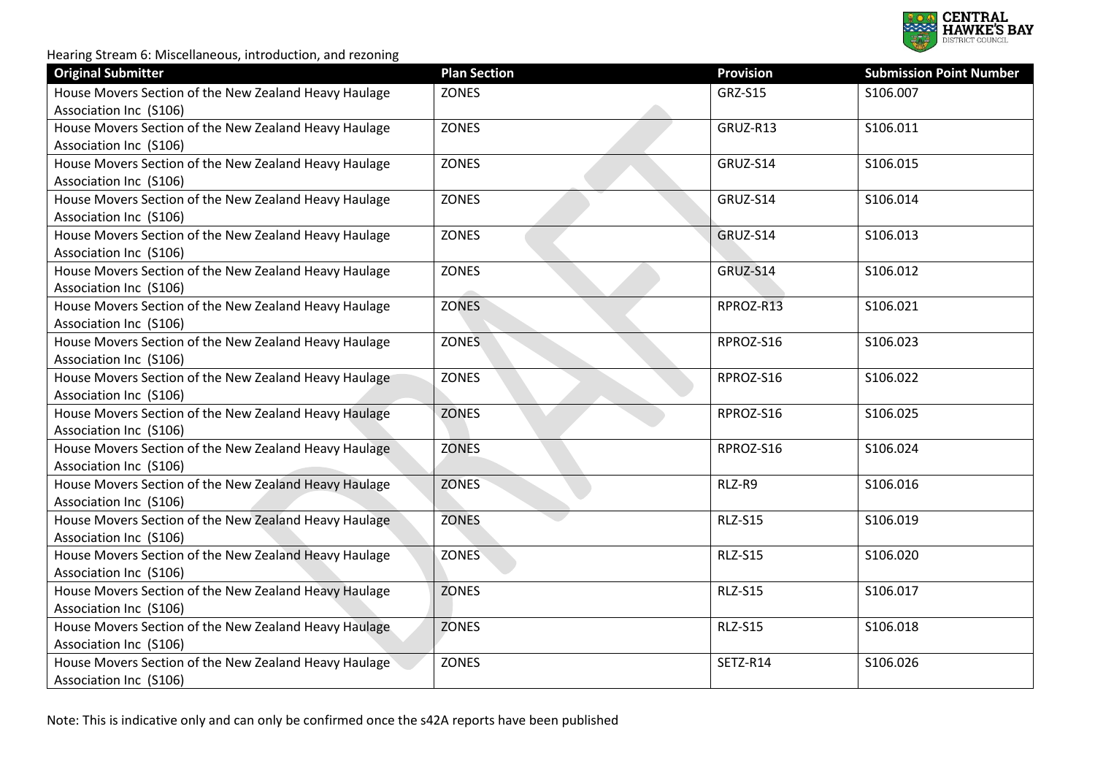

| <b>Original Submitter</b>                             | <b>Plan Section</b> | <b>Provision</b> | <b>Submission Point Number</b> |
|-------------------------------------------------------|---------------------|------------------|--------------------------------|
| House Movers Section of the New Zealand Heavy Haulage | ZONES               | <b>GRZ-S15</b>   | S106.007                       |
| Association Inc (S106)                                |                     |                  |                                |
| House Movers Section of the New Zealand Heavy Haulage | ZONES               | GRUZ-R13         | S106.011                       |
| Association Inc (S106)                                |                     |                  |                                |
| House Movers Section of the New Zealand Heavy Haulage | <b>ZONES</b>        | GRUZ-S14         | S106.015                       |
| Association Inc (S106)                                |                     |                  |                                |
| House Movers Section of the New Zealand Heavy Haulage | ZONES               | GRUZ-S14         | S106.014                       |
| Association Inc (S106)                                |                     |                  |                                |
| House Movers Section of the New Zealand Heavy Haulage | ZONES               | GRUZ-S14         | S106.013                       |
| Association Inc (S106)                                |                     |                  |                                |
| House Movers Section of the New Zealand Heavy Haulage | ZONES               | GRUZ-S14         | S106.012                       |
| Association Inc (S106)                                |                     |                  |                                |
| House Movers Section of the New Zealand Heavy Haulage | <b>ZONES</b>        | RPROZ-R13        | S106.021                       |
| Association Inc (S106)                                |                     |                  |                                |
| House Movers Section of the New Zealand Heavy Haulage | <b>ZONES</b>        | RPROZ-S16        | S106.023                       |
| Association Inc (S106)                                |                     |                  |                                |
| House Movers Section of the New Zealand Heavy Haulage | <b>ZONES</b>        | RPROZ-S16        | S106.022                       |
| Association Inc (S106)                                |                     |                  |                                |
| House Movers Section of the New Zealand Heavy Haulage | <b>ZONES</b>        | RPROZ-S16        | S106.025                       |
| Association Inc (S106)                                |                     |                  |                                |
| House Movers Section of the New Zealand Heavy Haulage | <b>ZONES</b>        | RPROZ-S16        | S106.024                       |
| Association Inc (S106)                                |                     |                  |                                |
| House Movers Section of the New Zealand Heavy Haulage | <b>ZONES</b>        | RLZ-R9           | S106.016                       |
| Association Inc (S106)                                |                     |                  |                                |
| House Movers Section of the New Zealand Heavy Haulage | <b>ZONES</b>        | <b>RLZ-S15</b>   | S106.019                       |
| Association Inc (S106)                                |                     |                  |                                |
| House Movers Section of the New Zealand Heavy Haulage | <b>ZONES</b>        | <b>RLZ-S15</b>   | S106.020                       |
| Association Inc (S106)                                |                     |                  |                                |
| House Movers Section of the New Zealand Heavy Haulage | <b>ZONES</b>        | <b>RLZ-S15</b>   | S106.017                       |
| Association Inc (S106)                                |                     |                  |                                |
| House Movers Section of the New Zealand Heavy Haulage | <b>ZONES</b>        | <b>RLZ-S15</b>   | S106.018                       |
| Association Inc (S106)                                |                     |                  |                                |
| House Movers Section of the New Zealand Heavy Haulage | <b>ZONES</b>        | SETZ-R14         | S106.026                       |
| Association Inc (S106)                                |                     |                  |                                |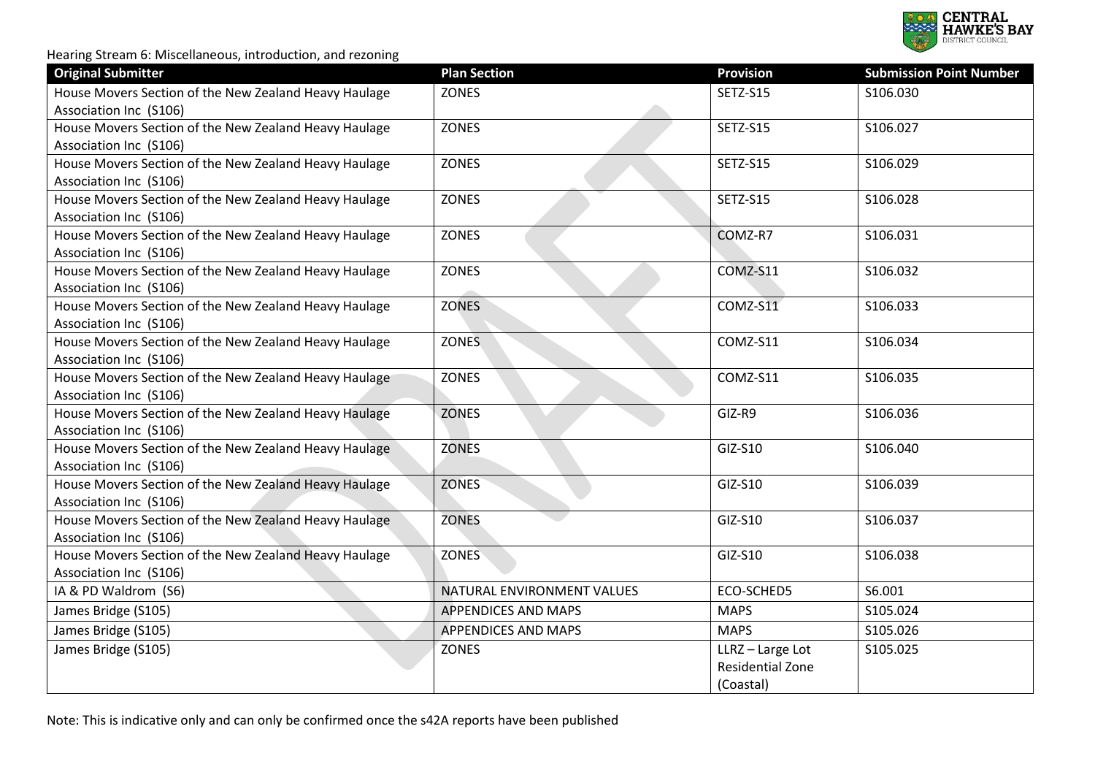

| <b>Original Submitter</b>                             | <b>Plan Section</b>        | <b>Provision</b> | <b>Submission Point Number</b> |
|-------------------------------------------------------|----------------------------|------------------|--------------------------------|
| House Movers Section of the New Zealand Heavy Haulage | <b>ZONES</b>               | <b>SETZ-S15</b>  | S106.030                       |
| Association Inc (S106)                                |                            |                  |                                |
| House Movers Section of the New Zealand Heavy Haulage | ZONES                      | SETZ-S15         | S106.027                       |
| Association Inc (S106)                                |                            |                  |                                |
| House Movers Section of the New Zealand Heavy Haulage | <b>ZONES</b>               | SETZ-S15         | S106.029                       |
| Association Inc (S106)                                |                            |                  |                                |
| House Movers Section of the New Zealand Heavy Haulage | ZONES                      | SETZ-S15         | S106.028                       |
| Association Inc (S106)                                |                            |                  |                                |
| House Movers Section of the New Zealand Heavy Haulage | ZONES                      | COMZ-R7          | S106.031                       |
| Association Inc (S106)                                |                            |                  |                                |
| House Movers Section of the New Zealand Heavy Haulage | <b>ZONES</b>               | COMZ-S11         | S106.032                       |
| Association Inc (S106)                                |                            |                  |                                |
| House Movers Section of the New Zealand Heavy Haulage | <b>ZONES</b>               | COMZ-S11         | S106.033                       |
| Association Inc (S106)                                |                            |                  |                                |
| House Movers Section of the New Zealand Heavy Haulage | <b>ZONES</b>               | COMZ-S11         | S106.034                       |
| Association Inc (S106)                                |                            |                  |                                |
| House Movers Section of the New Zealand Heavy Haulage | <b>ZONES</b>               | COMZ-S11         | S106.035                       |
| Association Inc (S106)                                |                            |                  |                                |
| House Movers Section of the New Zealand Heavy Haulage | <b>ZONES</b>               | GIZ-R9           | S106.036                       |
| Association Inc (S106)                                |                            |                  |                                |
| House Movers Section of the New Zealand Heavy Haulage | <b>ZONES</b>               | GIZ-S10          | S106.040                       |
| Association Inc (S106)                                |                            |                  |                                |
| House Movers Section of the New Zealand Heavy Haulage | <b>ZONES</b>               | GIZ-S10          | S106.039                       |
| Association Inc (S106)                                |                            |                  |                                |
| House Movers Section of the New Zealand Heavy Haulage | <b>ZONES</b>               | GIZ-S10          | S106.037                       |
| Association Inc (S106)                                |                            |                  |                                |
| House Movers Section of the New Zealand Heavy Haulage | <b>ZONES</b>               | GIZ-S10          | S106.038                       |
| Association Inc (S106)                                |                            |                  |                                |
| IA & PD Waldrom (S6)                                  | NATURAL ENVIRONMENT VALUES | ECO-SCHED5       | S6.001                         |
| James Bridge (S105)                                   | <b>APPENDICES AND MAPS</b> | <b>MAPS</b>      | S105.024                       |
| James Bridge (S105)                                   | <b>APPENDICES AND MAPS</b> | <b>MAPS</b>      | S105.026                       |
| James Bridge (S105)                                   | <b>ZONES</b>               | LLRZ-Large Lot   | S105.025                       |
|                                                       |                            | Residential Zone |                                |
|                                                       |                            | (Coastal)        |                                |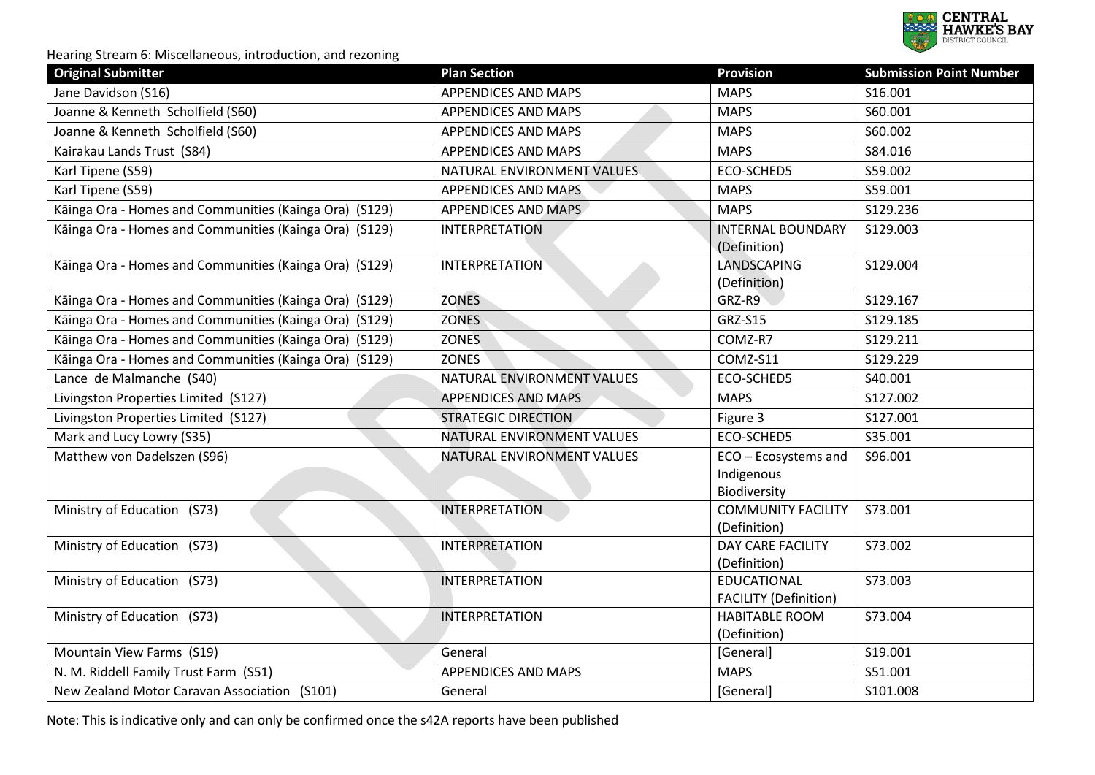

| <b>Original Submitter</b>                              | <b>Plan Section</b>        | <b>Provision</b>                                   | <b>Submission Point Number</b> |
|--------------------------------------------------------|----------------------------|----------------------------------------------------|--------------------------------|
| Jane Davidson (S16)                                    | <b>APPENDICES AND MAPS</b> | <b>MAPS</b>                                        | S16.001                        |
| Joanne & Kenneth Scholfield (S60)                      | <b>APPENDICES AND MAPS</b> | <b>MAPS</b>                                        | S60.001                        |
| Joanne & Kenneth Scholfield (S60)                      | APPENDICES AND MAPS        | <b>MAPS</b>                                        | S60.002                        |
| Kairakau Lands Trust (S84)                             | <b>APPENDICES AND MAPS</b> | <b>MAPS</b>                                        | S84.016                        |
| Karl Tipene (S59)                                      | NATURAL ENVIRONMENT VALUES | ECO-SCHED5                                         | S59.002                        |
| Karl Tipene (S59)                                      | APPENDICES AND MAPS        | <b>MAPS</b>                                        | S59.001                        |
| Kāinga Ora - Homes and Communities (Kainga Ora) (S129) | <b>APPENDICES AND MAPS</b> | <b>MAPS</b>                                        | S129.236                       |
| Kāinga Ora - Homes and Communities (Kainga Ora) (S129) | <b>INTERPRETATION</b>      | <b>INTERNAL BOUNDARY</b><br>(Definition)           | S129.003                       |
| Kāinga Ora - Homes and Communities (Kainga Ora) (S129) | <b>INTERPRETATION</b>      | <b>LANDSCAPING</b><br>(Definition)                 | S129.004                       |
| Kāinga Ora - Homes and Communities (Kainga Ora) (S129) | <b>ZONES</b>               | GRZ-R9                                             | S129.167                       |
| Kāinga Ora - Homes and Communities (Kainga Ora) (S129) | <b>ZONES</b>               | <b>GRZ-S15</b>                                     | S129.185                       |
| Kāinga Ora - Homes and Communities (Kainga Ora) (S129) | <b>ZONES</b>               | COMZ-R7                                            | S129.211                       |
| Kāinga Ora - Homes and Communities (Kainga Ora) (S129) | <b>ZONES</b>               | COMZ-S11                                           | S129.229                       |
| Lance de Malmanche (S40)                               | NATURAL ENVIRONMENT VALUES | ECO-SCHED5                                         | S40.001                        |
| Livingston Properties Limited (S127)                   | <b>APPENDICES AND MAPS</b> | <b>MAPS</b>                                        | S127.002                       |
| Livingston Properties Limited (S127)                   | <b>STRATEGIC DIRECTION</b> | Figure 3                                           | S127.001                       |
| Mark and Lucy Lowry (S35)                              | NATURAL ENVIRONMENT VALUES | ECO-SCHED5                                         | S35.001                        |
| Matthew von Dadelszen (S96)                            | NATURAL ENVIRONMENT VALUES | ECO - Ecosystems and                               | S96.001                        |
|                                                        |                            | Indigenous<br>Biodiversity                         |                                |
| Ministry of Education (S73)                            | <b>INTERPRETATION</b>      | <b>COMMUNITY FACILITY</b><br>(Definition)          | S73.001                        |
| Ministry of Education (S73)                            | <b>INTERPRETATION</b>      | <b>DAY CARE FACILITY</b><br>(Definition)           | S73.002                        |
| Ministry of Education (S73)                            | <b>INTERPRETATION</b>      | <b>EDUCATIONAL</b><br><b>FACILITY (Definition)</b> | S73.003                        |
| Ministry of Education (S73)                            | <b>INTERPRETATION</b>      | <b>HABITABLE ROOM</b><br>(Definition)              | S73.004                        |
| Mountain View Farms (S19)                              | General                    | [General]                                          | S19.001                        |
| N. M. Riddell Family Trust Farm (S51)                  | APPENDICES AND MAPS        | <b>MAPS</b>                                        | S51.001                        |
| New Zealand Motor Caravan Association (S101)           | General                    | [General]                                          | S101.008                       |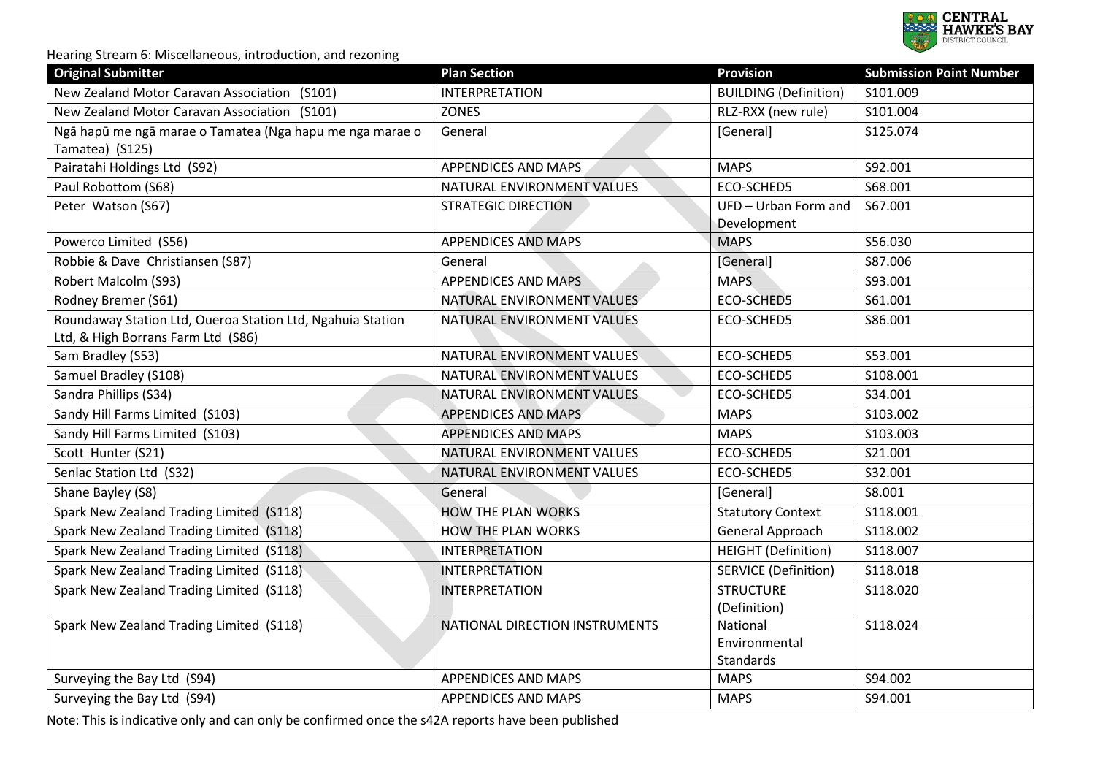

| <b>Original Submitter</b>                                  | <b>Plan Section</b>            | <b>Provision</b>             | <b>Submission Point Number</b> |
|------------------------------------------------------------|--------------------------------|------------------------------|--------------------------------|
| New Zealand Motor Caravan Association (S101)               | <b>INTERPRETATION</b>          | <b>BUILDING (Definition)</b> | S101.009                       |
| New Zealand Motor Caravan Association (S101)               | <b>ZONES</b>                   | RLZ-RXX (new rule)           | S101.004                       |
| Ngā hapū me ngā marae o Tamatea (Nga hapu me nga marae o   | General                        | [General]                    | S125.074                       |
| Tamatea) (S125)                                            |                                |                              |                                |
| Pairatahi Holdings Ltd (S92)                               | <b>APPENDICES AND MAPS</b>     | <b>MAPS</b>                  | S92.001                        |
| Paul Robottom (S68)                                        | NATURAL ENVIRONMENT VALUES     | ECO-SCHED5                   | S68.001                        |
| Peter Watson (S67)                                         | <b>STRATEGIC DIRECTION</b>     | UFD - Urban Form and         | S67.001                        |
|                                                            |                                | Development                  |                                |
| Powerco Limited (S56)                                      | <b>APPENDICES AND MAPS</b>     | <b>MAPS</b>                  | S56.030                        |
| Robbie & Dave Christiansen (S87)                           | General                        | [General]                    | S87.006                        |
| Robert Malcolm (S93)                                       | <b>APPENDICES AND MAPS</b>     | <b>MAPS</b>                  | S93.001                        |
| Rodney Bremer (S61)                                        | NATURAL ENVIRONMENT VALUES     | ECO-SCHED5                   | S61.001                        |
| Roundaway Station Ltd, Oueroa Station Ltd, Ngahuia Station | NATURAL ENVIRONMENT VALUES     | ECO-SCHED5                   | S86.001                        |
| Ltd, & High Borrans Farm Ltd (S86)                         |                                |                              |                                |
| Sam Bradley (S53)                                          | NATURAL ENVIRONMENT VALUES     | ECO-SCHED5                   | S53.001                        |
| Samuel Bradley (S108)                                      | NATURAL ENVIRONMENT VALUES     | ECO-SCHED5                   | S108.001                       |
| Sandra Phillips (S34)                                      | NATURAL ENVIRONMENT VALUES     | ECO-SCHED5                   | S34.001                        |
| Sandy Hill Farms Limited (S103)                            | <b>APPENDICES AND MAPS</b>     | <b>MAPS</b>                  | S103.002                       |
| Sandy Hill Farms Limited (S103)                            | <b>APPENDICES AND MAPS</b>     | <b>MAPS</b>                  | S103.003                       |
| Scott Hunter (S21)                                         | NATURAL ENVIRONMENT VALUES     | ECO-SCHED5                   | S21.001                        |
| Senlac Station Ltd (S32)                                   | NATURAL ENVIRONMENT VALUES     | ECO-SCHED5                   | S32.001                        |
| Shane Bayley (S8)                                          | General                        | [General]                    | S8.001                         |
| Spark New Zealand Trading Limited (S118)                   | <b>HOW THE PLAN WORKS</b>      | <b>Statutory Context</b>     | S118.001                       |
| Spark New Zealand Trading Limited (S118)                   | <b>HOW THE PLAN WORKS</b>      | General Approach             | S118.002                       |
| Spark New Zealand Trading Limited (S118)                   | <b>INTERPRETATION</b>          | <b>HEIGHT</b> (Definition)   | S118.007                       |
| Spark New Zealand Trading Limited (S118)                   | <b>INTERPRETATION</b>          | <b>SERVICE (Definition)</b>  | S118.018                       |
| Spark New Zealand Trading Limited (S118)                   | <b>INTERPRETATION</b>          | <b>STRUCTURE</b>             | S118.020                       |
|                                                            |                                | (Definition)                 |                                |
| Spark New Zealand Trading Limited (S118)                   | NATIONAL DIRECTION INSTRUMENTS | National                     | S118.024                       |
|                                                            |                                | Environmental                |                                |
|                                                            |                                | Standards                    |                                |
| Surveying the Bay Ltd (S94)                                | <b>APPENDICES AND MAPS</b>     | <b>MAPS</b>                  | S94.002                        |
| Surveying the Bay Ltd (S94)                                | <b>APPENDICES AND MAPS</b>     | <b>MAPS</b>                  | S94.001                        |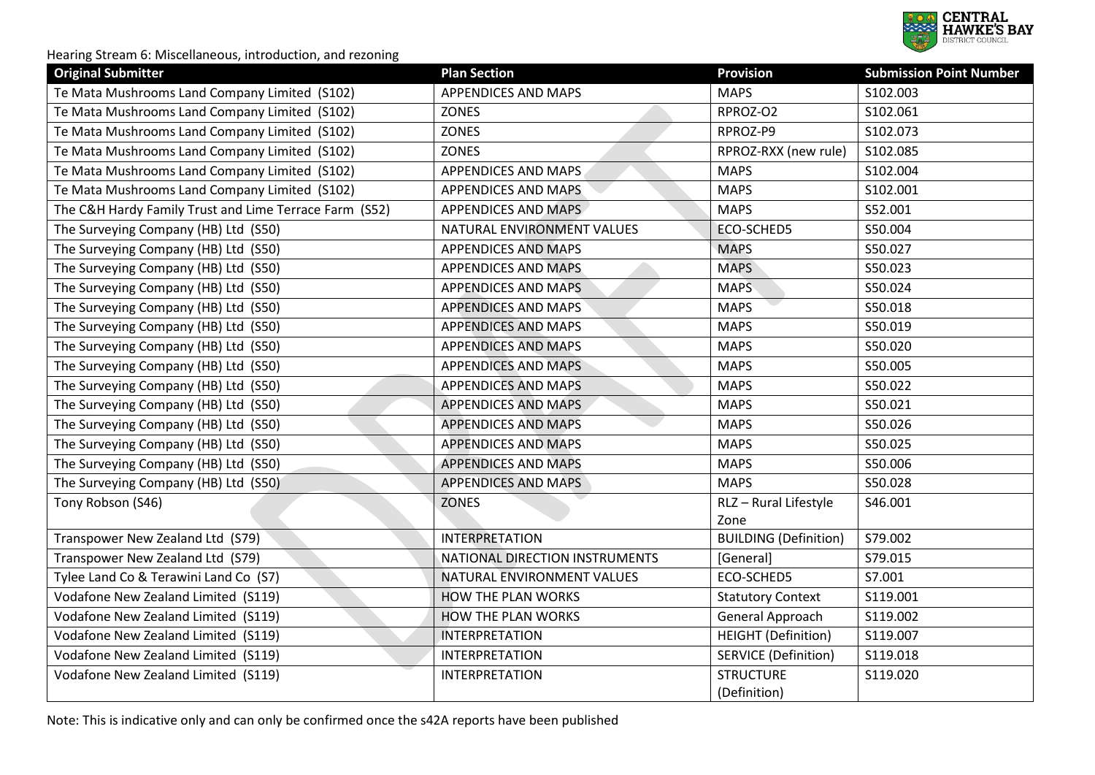

| <b>Original Submitter</b>                              | <b>Plan Section</b>            | <b>Provision</b>             | <b>Submission Point Number</b> |
|--------------------------------------------------------|--------------------------------|------------------------------|--------------------------------|
| Te Mata Mushrooms Land Company Limited (S102)          | <b>APPENDICES AND MAPS</b>     | <b>MAPS</b>                  | S102.003                       |
| Te Mata Mushrooms Land Company Limited (S102)          | <b>ZONES</b>                   | RPROZ-O2                     | S102.061                       |
| Te Mata Mushrooms Land Company Limited (S102)          | <b>ZONES</b>                   | RPROZ-P9                     | S102.073                       |
| Te Mata Mushrooms Land Company Limited (S102)          | <b>ZONES</b>                   | RPROZ-RXX (new rule)         | S102.085                       |
| Te Mata Mushrooms Land Company Limited (S102)          | <b>APPENDICES AND MAPS</b>     | <b>MAPS</b>                  | S102.004                       |
| Te Mata Mushrooms Land Company Limited (S102)          | <b>APPENDICES AND MAPS</b>     | <b>MAPS</b>                  | S102.001                       |
| The C&H Hardy Family Trust and Lime Terrace Farm (S52) | <b>APPENDICES AND MAPS</b>     | <b>MAPS</b>                  | S52.001                        |
| The Surveying Company (HB) Ltd (S50)                   | NATURAL ENVIRONMENT VALUES     | <b>ECO-SCHED5</b>            | S50.004                        |
| The Surveying Company (HB) Ltd (S50)                   | <b>APPENDICES AND MAPS</b>     | <b>MAPS</b>                  | S50.027                        |
| The Surveying Company (HB) Ltd (S50)                   | <b>APPENDICES AND MAPS</b>     | <b>MAPS</b>                  | S50.023                        |
| The Surveying Company (HB) Ltd (S50)                   | <b>APPENDICES AND MAPS</b>     | <b>MAPS</b>                  | S50.024                        |
| The Surveying Company (HB) Ltd (S50)                   | <b>APPENDICES AND MAPS</b>     | <b>MAPS</b>                  | S50.018                        |
| The Surveying Company (HB) Ltd (S50)                   | <b>APPENDICES AND MAPS</b>     | <b>MAPS</b>                  | S50.019                        |
| The Surveying Company (HB) Ltd (S50)                   | <b>APPENDICES AND MAPS</b>     | <b>MAPS</b>                  | S50.020                        |
| The Surveying Company (HB) Ltd (S50)                   | <b>APPENDICES AND MAPS</b>     | <b>MAPS</b>                  | S50.005                        |
| The Surveying Company (HB) Ltd (S50)                   | <b>APPENDICES AND MAPS</b>     | <b>MAPS</b>                  | S50.022                        |
| The Surveying Company (HB) Ltd (S50)                   | <b>APPENDICES AND MAPS</b>     | <b>MAPS</b>                  | S50.021                        |
| The Surveying Company (HB) Ltd (S50)                   | <b>APPENDICES AND MAPS</b>     | <b>MAPS</b>                  | S50.026                        |
| The Surveying Company (HB) Ltd (S50)                   | <b>APPENDICES AND MAPS</b>     | <b>MAPS</b>                  | S50.025                        |
| The Surveying Company (HB) Ltd (S50)                   | <b>APPENDICES AND MAPS</b>     | <b>MAPS</b>                  | S50.006                        |
| The Surveying Company (HB) Ltd (S50)                   | <b>APPENDICES AND MAPS</b>     | <b>MAPS</b>                  | S50.028                        |
| Tony Robson (S46)                                      | <b>ZONES</b>                   | RLZ - Rural Lifestyle        | S46.001                        |
|                                                        |                                | Zone                         |                                |
| Transpower New Zealand Ltd (S79)                       | <b>INTERPRETATION</b>          | <b>BUILDING (Definition)</b> | S79.002                        |
| Transpower New Zealand Ltd (S79)                       | NATIONAL DIRECTION INSTRUMENTS | [General]                    | S79.015                        |
| Tylee Land Co & Terawini Land Co (S7)                  | NATURAL ENVIRONMENT VALUES     | ECO-SCHED5                   | S7.001                         |
| Vodafone New Zealand Limited (S119)                    | <b>HOW THE PLAN WORKS</b>      | <b>Statutory Context</b>     | S119.001                       |
| Vodafone New Zealand Limited (S119)                    | <b>HOW THE PLAN WORKS</b>      | General Approach             | S119.002                       |
| Vodafone New Zealand Limited (S119)                    | <b>INTERPRETATION</b>          | <b>HEIGHT</b> (Definition)   | S119.007                       |
| Vodafone New Zealand Limited (S119)                    | <b>INTERPRETATION</b>          | <b>SERVICE (Definition)</b>  | S119.018                       |
| Vodafone New Zealand Limited (S119)                    | <b>INTERPRETATION</b>          | <b>STRUCTURE</b>             | S119.020                       |
|                                                        |                                | (Definition)                 |                                |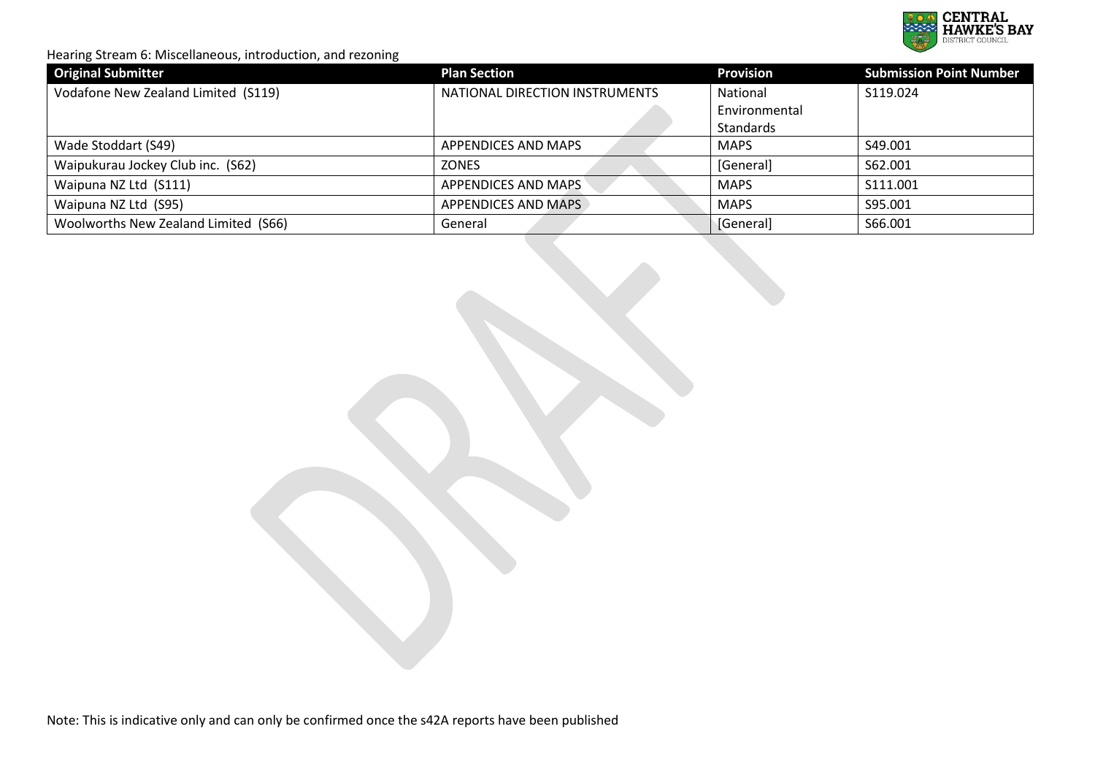

| <b>Original Submitter</b>            | <b>Plan Section</b>            | <b>Provision</b> | <b>Submission Point Number</b> |
|--------------------------------------|--------------------------------|------------------|--------------------------------|
| Vodafone New Zealand Limited (S119)  | NATIONAL DIRECTION INSTRUMENTS | National         | S119.024                       |
|                                      |                                | Environmental    |                                |
|                                      |                                | Standards        |                                |
| Wade Stoddart (S49)                  | APPENDICES AND MAPS            | <b>MAPS</b>      | S49.001                        |
| Waipukurau Jockey Club inc. (S62)    | <b>ZONES</b>                   | [General]        | S62.001                        |
| Waipuna NZ Ltd (S111)                | <b>APPENDICES AND MAPS</b>     | <b>MAPS</b>      | S111.001                       |
| Waipuna NZ Ltd (S95)                 | APPENDICES AND MAPS            | <b>MAPS</b>      | S95.001                        |
| Woolworths New Zealand Limited (S66) | General                        | [General]        | S66.001                        |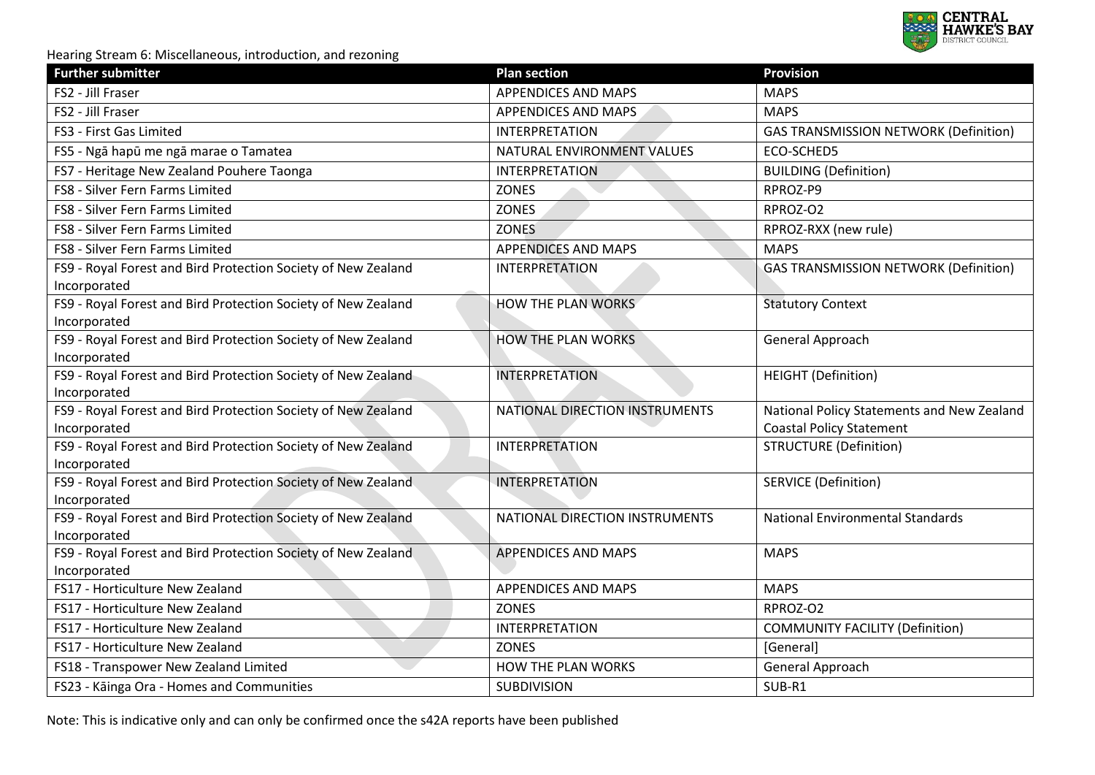

| <b>Further submitter</b>                                                      | <b>Plan section</b>            | <b>Provision</b>                                                              |
|-------------------------------------------------------------------------------|--------------------------------|-------------------------------------------------------------------------------|
| FS2 - Jill Fraser                                                             | <b>APPENDICES AND MAPS</b>     | <b>MAPS</b>                                                                   |
| FS2 - Jill Fraser                                                             | APPENDICES AND MAPS            | <b>MAPS</b>                                                                   |
| FS3 - First Gas Limited                                                       | <b>INTERPRETATION</b>          | <b>GAS TRANSMISSION NETWORK (Definition)</b>                                  |
| FS5 - Ngā hapū me ngā marae o Tamatea                                         | NATURAL ENVIRONMENT VALUES     | ECO-SCHED5                                                                    |
| FS7 - Heritage New Zealand Pouhere Taonga                                     | <b>INTERPRETATION</b>          | <b>BUILDING (Definition)</b>                                                  |
| FS8 - Silver Fern Farms Limited                                               | <b>ZONES</b>                   | RPROZ-P9                                                                      |
| FS8 - Silver Fern Farms Limited                                               | <b>ZONES</b>                   | RPROZ-O2                                                                      |
| FS8 - Silver Fern Farms Limited                                               | <b>ZONES</b>                   | RPROZ-RXX (new rule)                                                          |
| FS8 - Silver Fern Farms Limited                                               | <b>APPENDICES AND MAPS</b>     | <b>MAPS</b>                                                                   |
| FS9 - Royal Forest and Bird Protection Society of New Zealand<br>Incorporated | <b>INTERPRETATION</b>          | <b>GAS TRANSMISSION NETWORK (Definition)</b>                                  |
| FS9 - Royal Forest and Bird Protection Society of New Zealand<br>Incorporated | <b>HOW THE PLAN WORKS</b>      | <b>Statutory Context</b>                                                      |
| FS9 - Royal Forest and Bird Protection Society of New Zealand<br>Incorporated | HOW THE PLAN WORKS             | General Approach                                                              |
| FS9 - Royal Forest and Bird Protection Society of New Zealand<br>Incorporated | <b>INTERPRETATION</b>          | <b>HEIGHT</b> (Definition)                                                    |
| FS9 - Royal Forest and Bird Protection Society of New Zealand<br>Incorporated | NATIONAL DIRECTION INSTRUMENTS | National Policy Statements and New Zealand<br><b>Coastal Policy Statement</b> |
| FS9 - Royal Forest and Bird Protection Society of New Zealand<br>Incorporated | <b>INTERPRETATION</b>          | <b>STRUCTURE (Definition)</b>                                                 |
| FS9 - Royal Forest and Bird Protection Society of New Zealand<br>Incorporated | <b>INTERPRETATION</b>          | <b>SERVICE (Definition)</b>                                                   |
| FS9 - Royal Forest and Bird Protection Society of New Zealand<br>Incorporated | NATIONAL DIRECTION INSTRUMENTS | <b>National Environmental Standards</b>                                       |
| FS9 - Royal Forest and Bird Protection Society of New Zealand<br>Incorporated | <b>APPENDICES AND MAPS</b>     | <b>MAPS</b>                                                                   |
| FS17 - Horticulture New Zealand                                               | <b>APPENDICES AND MAPS</b>     | <b>MAPS</b>                                                                   |
| FS17 - Horticulture New Zealand                                               | <b>ZONES</b>                   | RPROZ-O2                                                                      |
| FS17 - Horticulture New Zealand                                               | <b>INTERPRETATION</b>          | <b>COMMUNITY FACILITY (Definition)</b>                                        |
| FS17 - Horticulture New Zealand                                               | <b>ZONES</b>                   | [General]                                                                     |
| FS18 - Transpower New Zealand Limited                                         | HOW THE PLAN WORKS             | General Approach                                                              |
| FS23 - Kāinga Ora - Homes and Communities                                     | <b>SUBDIVISION</b>             | SUB-R1                                                                        |